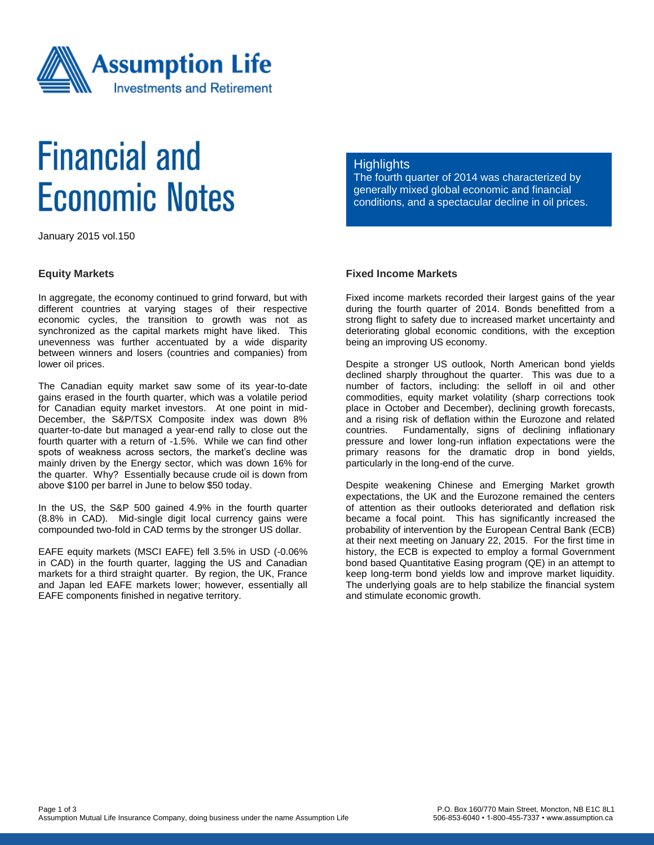

# **Financial and Economic Notes**

January 2015 vol.150

#### **Equity Markets**

In aggregate, the economy continued to grind forward, but with different countries at varying stages of their respective economic cycles, the transition to growth was not as synchronized as the capital markets might have liked. This unevenness was further accentuated by a wide disparity between winners and losers (countries and companies) from lower oil prices.

The Canadian equity market saw some of its year-to-date gains erased in the fourth quarter, which was a volatile period for Canadian equity market investors. At one point in mid-December, the S&P/TSX Composite index was down 8% quarter-to-date but managed a year-end rally to close out the fourth quarter with a return of -1.5%. While we can find other spots of weakness across sectors, the market's decline was mainly driven by the Energy sector, which was down 16% for the quarter. Why? Essentially because crude oil is down from above \$100 per barrel in June to below \$50 today.

In the US, the S&P 500 gained 4.9% in the fourth quarter (8.8% in CAD). Mid-single digit local currency gains were compounded two-fold in CAD terms by the stronger US dollar.

EAFE equity markets (MSCI EAFE) fell 3.5% in USD (-0.06% in CAD) in the fourth quarter, lagging the US and Canadian markets for a third straight quarter. By region, the UK, France and Japan led EAFE markets lower; however, essentially all EAFE components finished in negative territory.

#### **Highlights**

The fourth quarter of 2014 was characterized by generally mixed global economic and financial conditions, and a spectacular decline in oil prices.

## **Fixed Income Markets**

Fixed income markets recorded their largest gains of the year during the fourth quarter of 2014. Bonds benefitted from a strong flight to safety due to increased market uncertainty and deteriorating global economic conditions, with the exception being an improving US economy.

Despite a stronger US outlook, North American bond yields declined sharply throughout the quarter. This was due to a number of factors, including: the selloff in oil and other commodities, equity market volatility (sharp corrections took place in October and December), declining growth forecasts, and a rising risk of deflation within the Eurozone and related countries. Fundamentally, signs of declining inflationary pressure and lower long-run inflation expectations were the primary reasons for the dramatic drop in bond yields, particularly in the long-end of the curve.

Despite weakening Chinese and Emerging Market growth expectations, the UK and the Eurozone remained the centers of attention as their outlooks deteriorated and deflation risk became a focal point. This has significantly increased the probability of intervention by the European Central Bank (ECB) at their next meeting on January 22, 2015. For the first time in history, the ECB is expected to employ a formal Government bond based Quantitative Easing program (QE) in an attempt to keep long-term bond yields low and improve market liquidity. The underlying goals are to help stabilize the financial system and stimulate economic growth.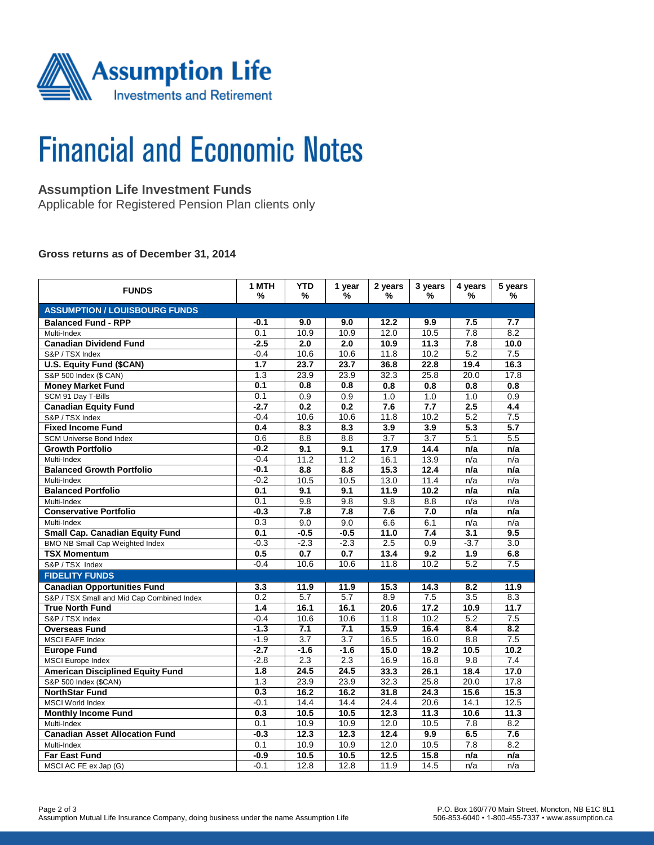

# **Financial and Economic Notes**

# **Assumption Life Investment Funds**

Applicable for Registered Pension Plan clients only

### **Gross returns as of December 31, 2014**

| <b>FUNDS</b>                               | 1 MTH<br>% | <b>YTD</b><br>% | 1 year<br>%       | 2 years<br>%     | 3 years<br>%     | 4 years<br>%     | 5 years<br>%     |  |  |  |  |
|--------------------------------------------|------------|-----------------|-------------------|------------------|------------------|------------------|------------------|--|--|--|--|
| <b>ASSUMPTION / LOUISBOURG FUNDS</b>       |            |                 |                   |                  |                  |                  |                  |  |  |  |  |
| <b>Balanced Fund - RPP</b>                 | $-0.1$     | 9.0             | 9.0               | 12.2             | 9.9              | 7.5              | 7.7              |  |  |  |  |
| Multi-Index                                | 0.1        | 10.9            | 10.9              | 12.0             | 10.5             | 7.8              | 8.2              |  |  |  |  |
| <b>Canadian Dividend Fund</b>              | $-2.5$     | 2.0             | 2.0               | 10.9             | 11.3             | 7.8              | 10.0             |  |  |  |  |
| S&P / TSX Index                            | $-0.4$     | 10.6            | 10.6              | 11.8             | 10.2             | 5.2              | 7.5              |  |  |  |  |
| <b>U.S. Equity Fund (\$CAN)</b>            | 1.7        | 23.7            | 23.7              | 36.8             | 22.8             | 19.4             | 16.3             |  |  |  |  |
| S&P 500 Index (\$ CAN)                     | 1.3        | 23.9            | 23.9              | 32.3             | 25.8             | 20.0             | 17.8             |  |  |  |  |
| <b>Money Market Fund</b>                   | 0.1        | 0.8             | 0.8               | 0.8              | 0.8              | 0.8              | 0.8              |  |  |  |  |
| SCM 91 Day T-Bills                         | 0.1        | 0.9             | 0.9               | 1.0              | 1.0              | 1.0              | 0.9              |  |  |  |  |
| <b>Canadian Equity Fund</b>                | $-2.7$     | 0.2             | 0.2               | 7.6              | 7.7              | 2.5              | 4.4              |  |  |  |  |
| S&P / TSX Index                            | $-0.4$     | 10.6            | 10.6              | 11.8             | 10.2             | 5.2              | 7.5              |  |  |  |  |
| <b>Fixed Income Fund</b>                   | 0.4        | 8.3             | 8.3               | 3.9              | 3.9              | $\overline{5.3}$ | $\overline{5.7}$ |  |  |  |  |
| <b>SCM Universe Bond Index</b>             | 0.6        | 8.8             | 8.8               | $\overline{3.7}$ | $\overline{3.7}$ | 5.1              | 5.5              |  |  |  |  |
| <b>Growth Portfolio</b>                    | $-0.2$     | 9.1             | 9.1               | 17.9             | 14.4             | n/a              | n/a              |  |  |  |  |
| Multi-Index                                | $-0.4$     | 11.2            | 11.2              | 16.1             | 13.9             | n/a              | n/a              |  |  |  |  |
| <b>Balanced Growth Portfolio</b>           | $-0.1$     | 8.8             | 8.8               | 15.3             | 12.4             | n/a              | n/a              |  |  |  |  |
| Multi-Index                                | $-0.2$     | 10.5            | 10.5              | 13.0             | 11.4             | n/a              | n/a              |  |  |  |  |
| <b>Balanced Portfolio</b>                  | 0.1        | 9.1             | 9.1               | 11.9             | 10.2             | n/a              | n/a              |  |  |  |  |
| Multi-Index                                | 0.1        | 9.8             | 9.8               | 9.8              | 8.8              | n/a              | n/a              |  |  |  |  |
| <b>Conservative Portfolio</b>              | $-0.3$     | 7.8             | 7.8               | 7.6              | 7.0              | n/a              | n/a              |  |  |  |  |
| Multi-Index                                | 0.3        | 9.0             | 9.0               | 6.6              | 6.1              | n/a              | n/a              |  |  |  |  |
| <b>Small Cap. Canadian Equity Fund</b>     | 0.1        | $-0.5$          | $-0.5$            | 11.0             | 7.4              | 3.1              | 9.5              |  |  |  |  |
| <b>BMO NB Small Cap Weighted Index</b>     | $-0.3$     | $-2.3$          | $-2.3$            | 2.5              | 0.9              | $-3.7$           | $\overline{3.0}$ |  |  |  |  |
| <b>TSX Momentum</b>                        | 0.5        | 0.7             | 0.7               | 13.4             | 9.2              | 1.9              | 6.8              |  |  |  |  |
| S&P / TSX Index                            | $-0.4$     | 10.6            | 10.6              | 11.8             | 10.2             | 5.2              | 7.5              |  |  |  |  |
| <b>FIDELITY FUNDS</b>                      |            |                 |                   |                  |                  |                  |                  |  |  |  |  |
| <b>Canadian Opportunities Fund</b>         | 3.3        | 11.9            | 11.9              | 15.3             | 14.3             | 8.2              | 11.9             |  |  |  |  |
| S&P / TSX Small and Mid Cap Combined Index | 0.2        | 5.7             | 5.7               | 8.9              | 7.5              | $\overline{3.5}$ | 8.3              |  |  |  |  |
| <b>True North Fund</b>                     | 1.4        | 16.1            | 16.1              | 20.6             | 17.2             | 10.9             | 11.7             |  |  |  |  |
| S&P / TSX Index                            | $-0.4$     | 10.6            | 10.6              | 11.8             | 10.2             | 5.2              | 7.5              |  |  |  |  |
| <b>Overseas Fund</b>                       | $-1.3$     | 7.1             | 7.1               | 15.9             | 16.4             | 8.4              | 8.2              |  |  |  |  |
| MSCI EAFE Index                            | $-1.9$     | 3.7             | 3.7               | 16.5             | 16.0             | 8.8              | 7.5              |  |  |  |  |
| <b>Europe Fund</b>                         | $-2.7$     | $-1.6$          | $-1.6$            | 15.0             | 19.2             | 10.5             | 10.2             |  |  |  |  |
| <b>MSCI</b> Europe Index                   | $-2.8$     | 2.3             | 2.3               | 16.9             | 16.8             | $\overline{9.8}$ | 7.4              |  |  |  |  |
| <b>American Disciplined Equity Fund</b>    | 1.8        | 24.5            | 24.5              | 33.3             | 26.1             | 18.4             | 17.0             |  |  |  |  |
| S&P 500 Index (\$CAN)                      | 1.3        | 23.9            | 23.9              | 32.3             | 25.8             | 20.0             | 17.8             |  |  |  |  |
| <b>NorthStar Fund</b>                      | 0.3        | 16.2            | 16.2              | 31.8             | 24.3             | 15.6             | 15.3             |  |  |  |  |
| <b>MSCI World Index</b>                    | $-0.1$     | 14.4            | 14.4              | 24.4             | 20.6             | 14.1             | 12.5             |  |  |  |  |
| <b>Monthly Income Fund</b>                 | 0.3        | 10.5            | 10.5              | 12.3             | 11.3             | 10.6             | 11.3             |  |  |  |  |
| Multi-Index                                | 0.1        | 10.9            | 10.9              | 12.0             | 10.5             | 7.8              | 8.2              |  |  |  |  |
| <b>Canadian Asset Allocation Fund</b>      | $-0.3$     | 12.3            | $\overline{12.3}$ | 12.4             | 9.9              | 6.5              | 7.6              |  |  |  |  |
| Multi-Index                                | 0.1        | 10.9            | 10.9              | 12.0             | 10.5             | 7.8              | 8.2              |  |  |  |  |
| <b>Far East Fund</b>                       | $-0.9$     | 10.5            | 10.5              | 12.5             | 15.8             | n/a              | n/a              |  |  |  |  |
| MSCI AC FE ex Jap (G)                      | $-0.1$     | 12.8            | 12.8              | 11.9             | 14.5             | n/a              | n/a              |  |  |  |  |